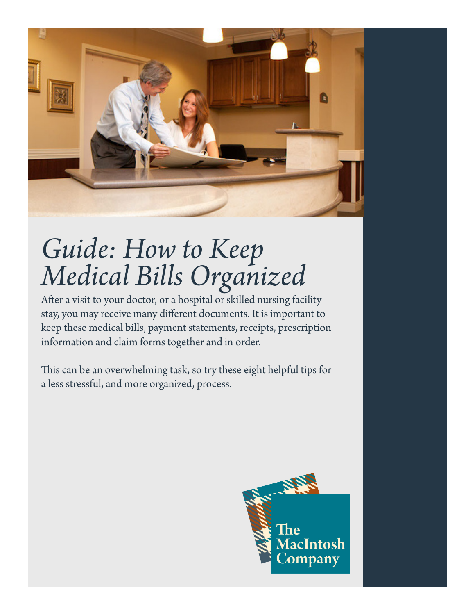

# *Guide: How to Keep Medical Bills Organized*

After a visit to your doctor, or a hospital or skilled nursing facility stay, you may receive many different documents. It is important to keep these medical bills, payment statements, receipts, prescription information and claim forms together and in order.

This can be an overwhelming task, so try these eight helpful tips for a less stressful, and more organized, process.

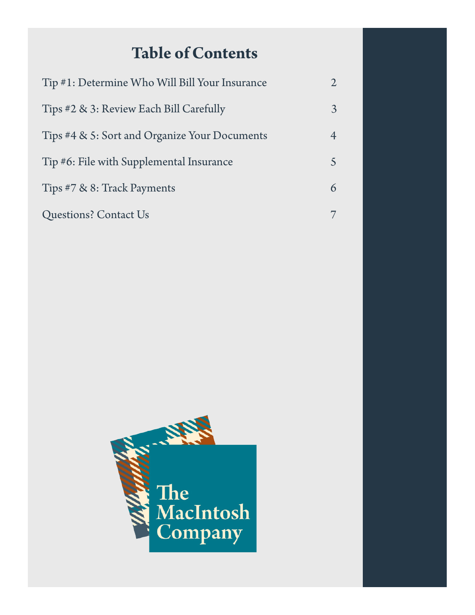## **Table of Contents**

| Tip #1: Determine Who Will Bill Your Insurance |  |
|------------------------------------------------|--|
| Tips #2 & 3: Review Each Bill Carefully        |  |
| Tips #4 & 5: Sort and Organize Your Documents  |  |
| Tip #6: File with Supplemental Insurance       |  |
| Tips #7 & 8: Track Payments                    |  |
| <b>Questions? Contact Us</b>                   |  |

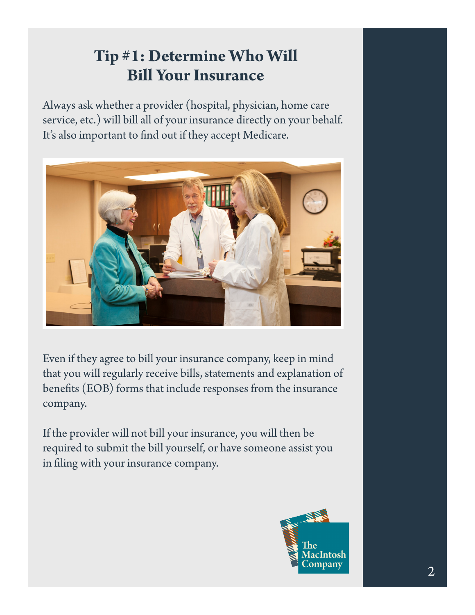# **Tip #1: Determine Who Will Bill Your Insurance**

Always ask whether a provider (hospital, physician, home care service, etc.) will bill all of your insurance directly on your behalf. It's also important to find out if they accept Medicare.



Even if they agree to bill your insurance company, keep in mind that you will regularly receive bills, statements and explanation of benefits (EOB) forms that include responses from the insurance company.

If the provider will not bill your insurance, you will then be required to submit the bill yourself, or have someone assist you in filing with your insurance company.

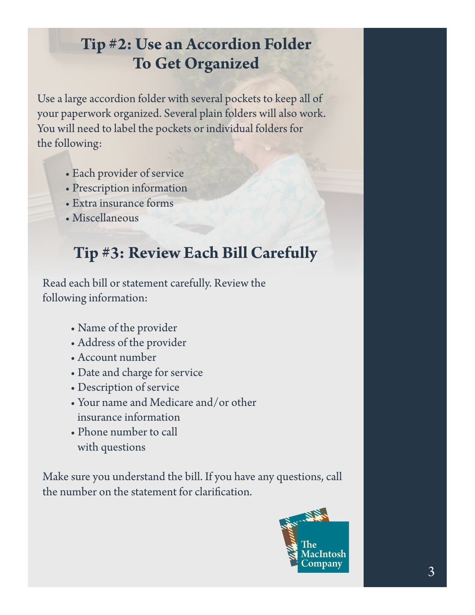# **Tip #2: Use an Accordion Folder To Get Organized**

Use a large accordion folder with several pockets to keep all of your paperwork organized. Several plain folders will also work. You will need to label the pockets or individual folders for the following:

- Each provider of service
- Prescription information
- Extra insurance forms
- Miscellaneous

## **Tip #3: Review Each Bill Carefully**

Read each bill or statement carefully. Review the following information:

- Name of the provider
- Address of the provider
- Account number
- Date and charge for service
- Description of service
- Your name and Medicare and/or other insurance information
- Phone number to call with questions

Make sure you understand the bill. If you have any questions, call the number on the statement for clarification.

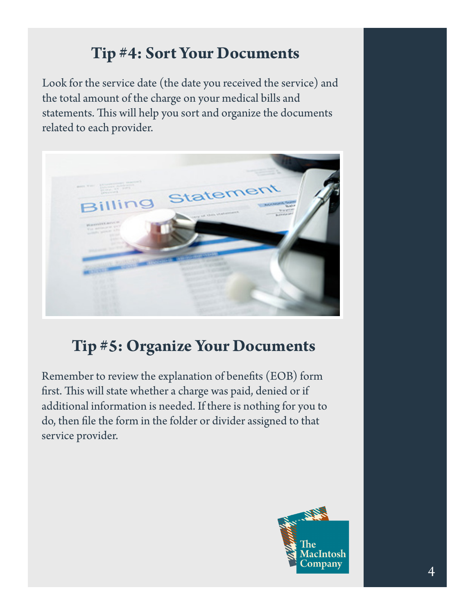# **Tip #4: Sort Your Documents**

Look for the service date (the date you received the service) and the total amount of the charge on your medical bills and statements. This will help you sort and organize the documents related to each provider.



# **Tip #5: Organize Your Documents**

Remember to review the explanation of benefits (EOB) form first. This will state whether a charge was paid, denied or if additional information is needed. If there is nothing for you to do, then file the form in the folder or divider assigned to that service provider.

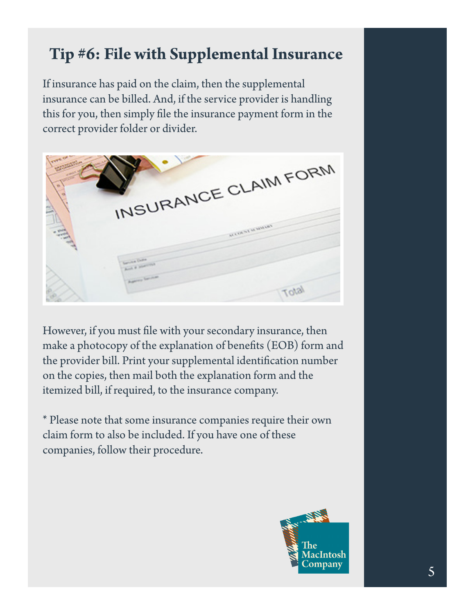## **Tip #6: File with Supplemental Insurance**

If insurance has paid on the claim, then the supplemental insurance can be billed. And, if the service provider is handling this for you, then simply file the insurance payment form in the correct provider folder or divider.



However, if you must file with your secondary insurance, then make a photocopy of the explanation of benefits (EOB) form and the provider bill. Print your supplemental identification number on the copies, then mail both the explanation form and the itemized bill, if required, to the insurance company.

\* Please note that some insurance companies require their own claim form to also be included. If you have one of these companies, follow their procedure.

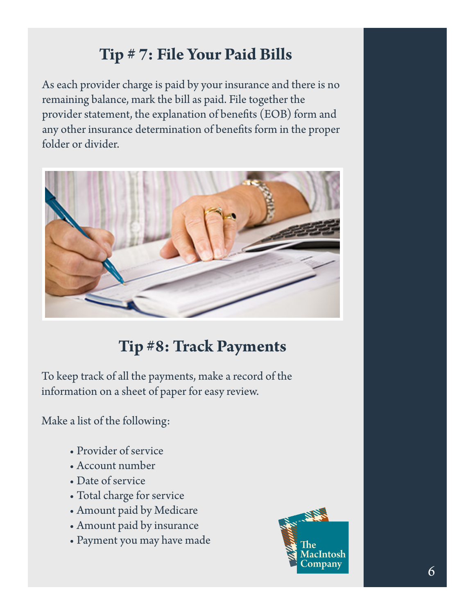# **Tip # 7: File Your Paid Bills**

As each provider charge is paid by your insurance and there is no remaining balance, mark the bill as paid. File together the provider statement, the explanation of benefits (EOB) form and any other insurance determination of benefits form in the proper folder or divider.



## **Tip #8: Track Payments**

To keep track of all the payments, make a record of the information on a sheet of paper for easy review.

Make a list of the following:

- Provider of service
- Account number
- Date of service
- Total charge for service
- Amount paid by Medicare
- Amount paid by insurance
- Payment you may have made